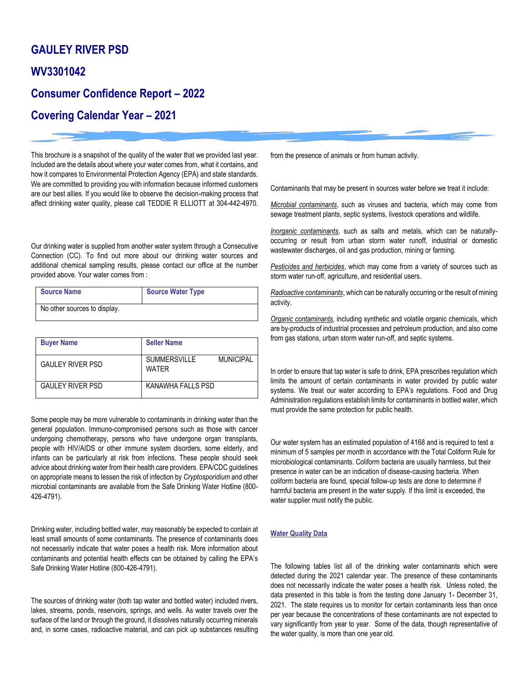## **GAULEY RIVER PSD**

### **WV3301042**

## **Consumer Confidence Report – 2022**

# **Covering Calendar Year – 2021**

This brochure is a snapshot of the quality of the water that we provided last year. Included are the details about where your water comes from, what it contains, and how it compares to Environmental Protection Agency (EPA) and state standards. We are committed to providing you with information because informed customers are our best allies. If you would like to observe the decision-making process that affect drinking water quality, please call TEDDIE R ELLIOTT at 304-442-4970.

Our drinking water is supplied from another water system through a Consecutive Connection (CC). To find out more about our drinking water sources and additional chemical sampling results, please contact our office at the number provided above. Your water comes from :

| <b>Source Name</b>           | Source Water Type |
|------------------------------|-------------------|
| No other sources to display. |                   |

| <b>Buyer Name</b>       | <b>Seller Name</b>           |                  |
|-------------------------|------------------------------|------------------|
| <b>GAULEY RIVER PSD</b> | <b>SUMMERSVILLE</b><br>WATFR | <b>MUNICIPAL</b> |
| <b>GAULEY RIVER PSD</b> | KANAWHA FALLS PSD            |                  |

Some people may be more vulnerable to contaminants in drinking water than the general population. Immuno-compromised persons such as those with cancer undergoing chemotherapy, persons who have undergone organ transplants, people with HIV/AIDS or other immune system disorders, some elderly, and infants can be particularly at risk from infections. These people should seek advice about drinking water from their health care providers. EPA/CDC guidelines on appropriate means to lessen the risk of infection by *Cryptosporidium* and other microbial contaminants are available from the Safe Drinking Water Hotline (800- 426-4791).

Drinking water, including bottled water, may reasonably be expected to contain at least small amounts of some contaminants. The presence of contaminants does not necessarily indicate that water poses a health risk. More information about contaminants and potential health effects can be obtained by calling the EPA's Safe Drinking Water Hotline (800-426-4791).

The sources of drinking water (both tap water and bottled water) included rivers, lakes, streams, ponds, reservoirs, springs, and wells. As water travels over the surface of the land or through the ground, it dissolves naturally occurring minerals and, in some cases, radioactive material, and can pick up substances resulting from the presence of animals or from human activity.

Contaminants that may be present in sources water before we treat it include:

*Microbial contaminants*, such as viruses and bacteria, which may come from sewage treatment plants, septic systems, livestock operations and wildlife.

*Inorganic contaminants*, such as salts and metals, which can be naturallyoccurring or result from urban storm water runoff, industrial or domestic wastewater discharges, oil and gas production, mining or farming.

*Pesticides and herbicides*, which may come from a variety of sources such as storm water run-off, agriculture, and residential users.

*Radioactive contaminants*, which can be naturally occurring or the result of mining activity.

*Organic contaminants*, including synthetic and volatile organic chemicals, which are by-products of industrial processes and petroleum production, and also come from gas stations, urban storm water run-off, and septic systems.

In order to ensure that tap water is safe to drink, EPA prescribes regulation which limits the amount of certain contaminants in water provided by public water systems. We treat our water according to EPA's regulations. Food and Drug Administration regulations establish limits for contaminants in bottled water, which must provide the same protection for public health.

Our water system has an estimated population of 4168 and is required to test a minimum of 5 samples per month in accordance with the Total Coliform Rule for microbiological contaminants. Coliform bacteria are usually harmless, but their presence in water can be an indication of disease-causing bacteria. When coliform bacteria are found, special follow-up tests are done to determine if harmful bacteria are present in the water supply. If this limit is exceeded, the water supplier must notify the public.

#### **Water Quality Data**

The following tables list all of the drinking water contaminants which were detected during the 2021 calendar year. The presence of these contaminants does not necessarily indicate the water poses a health risk. Unless noted, the data presented in this table is from the testing done January 1- December 31, 2021. The state requires us to monitor for certain contaminants less than once per year because the concentrations of these contaminants are not expected to vary significantly from year to year. Some of the data, though representative of the water quality, is more than one year old.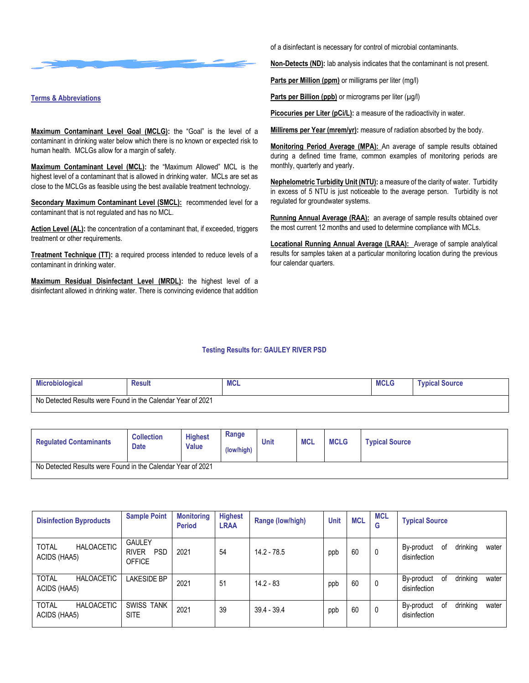

#### **Terms & Abbreviations**

**Maximum Contaminant Level Goal (MCLG):** the "Goal" is the level of a contaminant in drinking water below which there is no known or expected risk to human health. MCLGs allow for a margin of safety.

**Maximum Contaminant Level (MCL):** the "Maximum Allowed" MCL is the highest level of a contaminant that is allowed in drinking water. MCLs are set as close to the MCLGs as feasible using the best available treatment technology.

**Secondary Maximum Contaminant Level (SMCL):** recommended level for a contaminant that is not regulated and has no MCL.

Action Level (AL): the concentration of a contaminant that, if exceeded, triggers treatment or other requirements.

**Treatment Technique (TT):** a required process intended to reduce levels of a contaminant in drinking water.

**Maximum Residual Disinfectant Level (MRDL):** the highest level of a disinfectant allowed in drinking water. There is convincing evidence that addition of a disinfectant is necessary for control of microbial contaminants.

**Non-Detects (ND):** lab analysis indicates that the contaminant is not present.

**Parts per Million (ppm)** or milligrams per liter (mg/l)

**Parts per Billion (ppb)** or micrograms per liter (µg/l)

**Picocuries per Liter (pCi/L):** a measure of the radioactivity in water.

Millirems per Year (mrem/yr): measure of radiation absorbed by the body.

**Monitoring Period Average (MPA):** An average of sample results obtained during a defined time frame, common examples of monitoring periods are monthly, quarterly and yearly.

**Nephelometric Turbidity Unit (NTU):** a measure of the clarity of water. Turbidity in excess of 5 NTU is just noticeable to the average person. Turbidity is not regulated for groundwater systems.

Running Annual Average (RAA): an average of sample results obtained over the most current 12 months and used to determine compliance with MCLs.

**Locational Running Annual Average (LRAA):** Average of sample analytical results for samples taken at a particular monitoring location during the previous four calendar quarters.

#### **Testing Results for: GAULEY RIVER PSD**

| <b>Microbiological</b>                                      | <b>Result</b> | <b>IVIUL</b> | <b>MCLG</b> | <b>Typical Source</b> |
|-------------------------------------------------------------|---------------|--------------|-------------|-----------------------|
| No Detected Results were Found in the Calendar Year of 2021 |               |              |             |                       |

| <b>Regulated Contaminants</b>                               | <b>Collection</b><br><b>Date</b> | <b>Highest</b><br><b>Value</b> | Range<br>(low/high) | Unit | <b>MCL</b> | <b>MCLG</b> | <b>Typical Source</b> |
|-------------------------------------------------------------|----------------------------------|--------------------------------|---------------------|------|------------|-------------|-----------------------|
| No Detected Results were Found in the Calendar Year of 2021 |                                  |                                |                     |      |            |             |                       |

| <b>Disinfection Byproducts</b>                    | <b>Sample Point</b>                                          | <b>Monitoring</b><br><b>Period</b> | <b>Highest</b><br><b>LRAA</b> | Range (low/high) | <b>Unit</b> | <b>MCL</b> | <b>MCL</b><br>G | <b>Typical Source</b>                                 |
|---------------------------------------------------|--------------------------------------------------------------|------------------------------------|-------------------------------|------------------|-------------|------------|-----------------|-------------------------------------------------------|
| <b>HALOACETIC</b><br><b>TOTAL</b><br>ACIDS (HAA5) | <b>GAULEY</b><br><b>PSD</b><br><b>RIVER</b><br><b>OFFICE</b> | 2021                               | 54                            | 14.2 - 78.5      | ppb         | 60         | 0               | drinking<br>0f<br>By-product<br>water<br>disinfection |
| <b>TOTAL</b><br><b>HALOACETIC</b><br>ACIDS (HAA5) | <b>LAKESIDE BP</b>                                           | 2021                               | 51                            | $14.2 - 83$      | ppb         | 60         | $\mathbf 0$     | drinking<br>By-product<br>0f<br>water<br>disinfection |
| <b>HALOACETIC</b><br><b>TOTAL</b><br>ACIDS (HAA5) | <b>SWISS TANK</b><br><b>SITE</b>                             | 2021                               | 39                            | $39.4 - 39.4$    | ppb         | 60         | $\mathbf 0$     | drinking<br>By-product<br>0f<br>water<br>disinfection |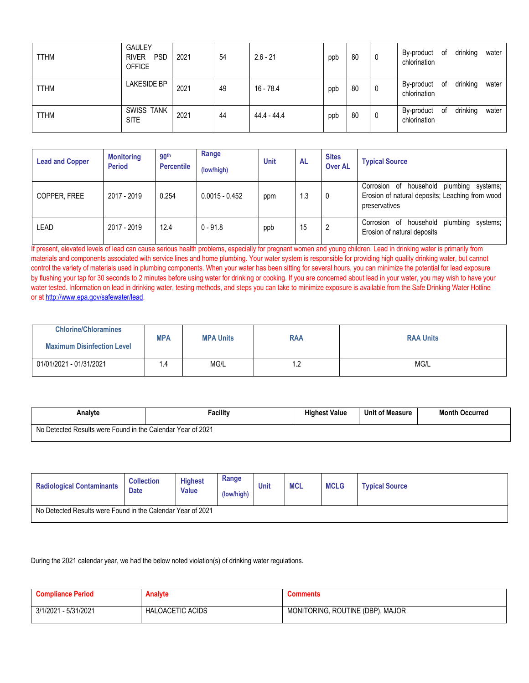| <b>TTHM</b> | <b>GAULEY</b><br><b>PSD</b><br><b>RIVER</b><br><b>OFFICE</b> | 2021 | 54 | $2.6 - 21$    | ppb | 80 | 0 | By-product of<br>chlorination |    | drinking | water |
|-------------|--------------------------------------------------------------|------|----|---------------|-----|----|---|-------------------------------|----|----------|-------|
| <b>TTHM</b> | <b>LAKESIDE BP</b>                                           | 2021 | 49 | 16 - 78.4     | ppb | 80 | 0 | By-product<br>chlorination    | 0f | drinking | water |
| <b>TTHM</b> | <b>SWISS TANK</b><br><b>SITE</b>                             | 2021 | 44 | $44.4 - 44.4$ | ppb | 80 | 0 | By-product<br>chlorination    | of | drinking | water |

| <b>Lead and Copper</b> | <b>Monitoring</b><br><b>Period</b> | 90 <sup>th</sup><br><b>Percentile</b> | Range<br>(low/high) | <b>Unit</b> | AL | <b>Sites</b><br><b>Over AL</b> | <b>Typical Source</b>                                                                                           |
|------------------------|------------------------------------|---------------------------------------|---------------------|-------------|----|--------------------------------|-----------------------------------------------------------------------------------------------------------------|
| COPPER, FREE           | 2017 - 2019                        | 0.254                                 | $0.0015 - 0.452$    | ppm         | .3 | 0                              | Corrosion of household plumbing<br>systems;<br>Erosion of natural deposits; Leaching from wood<br>preservatives |
| LEAD                   | 2017 - 2019                        | 12.4                                  | $0 - 91.8$          | ppb         | 15 | 2                              | household<br>plumbing<br>Corrosion of<br>systems:<br>Erosion of natural deposits                                |

If present, elevated levels of lead can cause serious health problems, especially for pregnant women and young children. Lead in drinking water is primarily from materials and components associated with service lines and home plumbing. Your water system is responsible for providing high quality drinking water, but cannot control the variety of materials used in plumbing components. When your water has been sitting for several hours, you can minimize the potential for lead exposure by flushing your tap for 30 seconds to 2 minutes before using water for drinking or cooking. If you are concerned about lead in your water, you may wish to have your water tested. Information on lead in drinking water, testing methods, and steps you can take to minimize exposure is available from the Safe Drinking Water Hotline or at [http://www.epa.gov/safewater/lead.](http://www.epa.gov/safewater/lead)

| <b>Chlorine/Chloramines</b>       | <b>MPA</b> |                  |            |                  |
|-----------------------------------|------------|------------------|------------|------------------|
| <b>Maximum Disinfection Level</b> |            | <b>MPA Units</b> | <b>RAA</b> | <b>RAA Units</b> |
| 01/01/2021 - 01/31/2021           | . . 4      | Mg/L             | $\cdot$    | MG/L             |

| Analvte                                                     | Facility | <b>Highest Value</b> | <b>Unit of Measure</b> | <b>Month Occurred</b> |
|-------------------------------------------------------------|----------|----------------------|------------------------|-----------------------|
| No Detected Results were Found in the Calendar Year of 2021 |          |                      |                        |                       |

| <b>Radiological Contaminants</b> | <b>Collection</b><br><b>Date</b>                            | <b>Highest</b><br><b>Value</b> | Range<br>(low/high) | Unit | <b>MCL</b> | <b>MCLG</b> | <b>Typical Source</b> |  |
|----------------------------------|-------------------------------------------------------------|--------------------------------|---------------------|------|------------|-------------|-----------------------|--|
|                                  | No Detected Results were Found in the Calendar Year of 2021 |                                |                     |      |            |             |                       |  |

During the 2021 calendar year, we had the below noted violation(s) of drinking water regulations.

| <b>Compliance Period</b> | <b>Analyte</b>          | Comments                         |
|--------------------------|-------------------------|----------------------------------|
| 3/1/2021 - 5/31/2021     | <b>HALOACETIC ACIDS</b> | MONITORING, ROUTINE (DBP), MAJOR |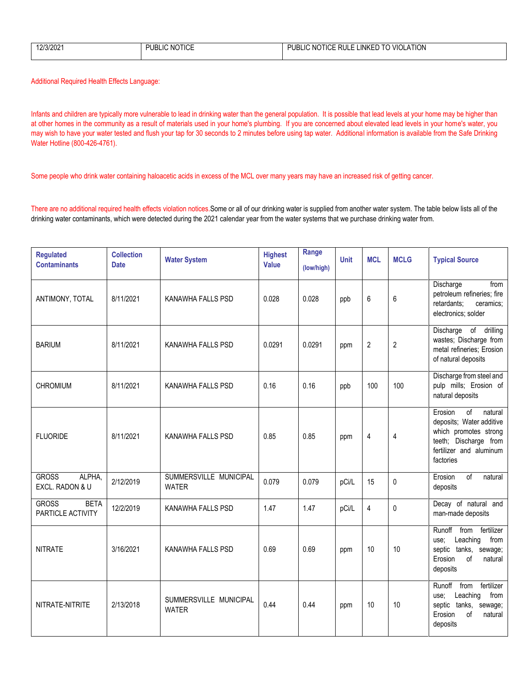| 12/3/2021 | <b>NOTICE</b><br>'UBL<br>- 11. | <b>VIOLATION</b><br><b>TICE RULL</b><br>LINKED.<br>PUBI<br>NO.<br>LIC<br>ΙO |
|-----------|--------------------------------|-----------------------------------------------------------------------------|
|           |                                |                                                                             |

Additional Required Health Effects Language:

Infants and children are typically more vulnerable to lead in drinking water than the general population. It is possible that lead levels at your home may be higher than at other homes in the community as a result of materials used in your home's plumbing. If you are concerned about elevated lead levels in your home's water, you may wish to have your water tested and flush your tap for 30 seconds to 2 minutes before using tap water. Additional information is available from the Safe Drinking Water Hotline (800-426-4761).

Some people who drink water containing haloacetic acids in excess of the MCL over many years may have an increased risk of getting cancer.

There are no additional required health effects violation notices.Some or all of our drinking water is supplied from another water system. The table below lists all of the drinking water contaminants, which were detected during the 2021 calendar year from the water systems that we purchase drinking water from.

| <b>Regulated</b><br><b>Contaminants</b>          | <b>Collection</b><br><b>Date</b> | <b>Water System</b>                    | <b>Highest</b><br>Value | Range<br>(low/high) | <b>Unit</b> | <b>MCL</b>     | <b>MCLG</b>    | <b>Typical Source</b>                                                                                                                          |
|--------------------------------------------------|----------------------------------|----------------------------------------|-------------------------|---------------------|-------------|----------------|----------------|------------------------------------------------------------------------------------------------------------------------------------------------|
| ANTIMONY, TOTAL                                  | 8/11/2021                        | KANAWHA FALLS PSD                      | 0.028                   | 0.028               | ppb         | 6              | 6              | Discharge<br>from<br>petroleum refineries; fire<br>retardants;<br>ceramics;<br>electronics; solder                                             |
| <b>BARIUM</b>                                    | 8/11/2021                        | KANAWHA FALLS PSD                      | 0.0291                  | 0.0291              | ppm         | $\overline{2}$ | $\overline{2}$ | Discharge of drilling<br>wastes; Discharge from<br>metal refineries; Erosion<br>of natural deposits                                            |
| <b>CHROMIUM</b>                                  | 8/11/2021                        | KANAWHA FALLS PSD                      | 0.16                    | 0.16                | ppb         | 100            | 100            | Discharge from steel and<br>pulp mills; Erosion of<br>natural deposits                                                                         |
| <b>FLUORIDE</b>                                  | 8/11/2021                        | KANAWHA FALLS PSD                      | 0.85                    | 0.85                | ppm         | 4              | 4              | of<br>Erosion<br>natural<br>deposits; Water additive<br>which promotes strong<br>teeth; Discharge from<br>fertilizer and aluminum<br>factories |
| <b>GROSS</b><br>ALPHA,<br>EXCL. RADON & U        | 2/12/2019                        | SUMMERSVILLE MUNICIPAL<br><b>WATER</b> | 0.079                   | 0.079               | pCi/L       | 15             | 0              | Erosion<br>of<br>natural<br>deposits                                                                                                           |
| <b>GROSS</b><br><b>BETA</b><br>PARTICLE ACTIVITY | 12/2/2019                        | KANAWHA FALLS PSD                      | 1.47                    | 1.47                | pCi/L       | 4              | 0              | Decay of natural and<br>man-made deposits                                                                                                      |
| <b>NITRATE</b>                                   | 3/16/2021                        | <b>KANAWHA FALLS PSD</b>               | 0.69                    | 0.69                | ppm         | 10             | 10             | fertilizer<br>Runoff<br>from<br>Leaching<br>from<br>use;<br>septic tanks, sewage;<br>Erosion<br>of<br>natural<br>deposits                      |
| NITRATE-NITRITE                                  | 2/13/2018                        | SUMMERSVILLE MUNICIPAL<br><b>WATER</b> | 0.44                    | 0.44                | ppm         | 10             | 10             | fertilizer<br>Runoff<br>from<br>Leaching<br>from<br>use;<br>septic tanks,<br>sewage;<br>Erosion<br>of<br>natural<br>deposits                   |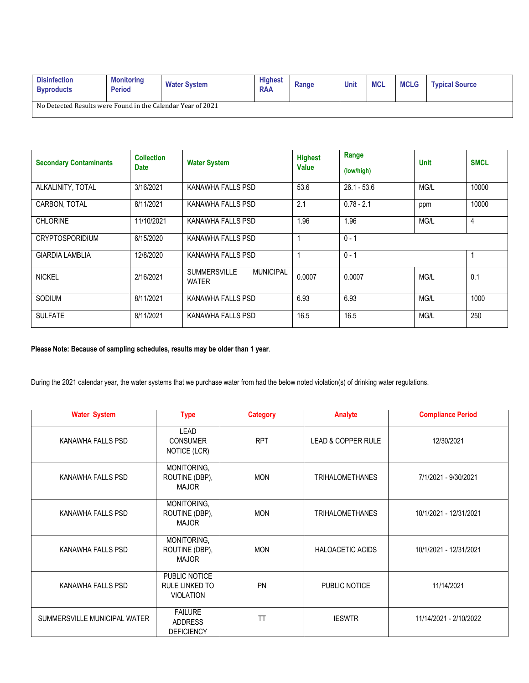| <b>Disinfection</b><br><b>Byproducts</b>                    | <b>Monitoring</b><br><b>Period</b> | <b>Water System</b> | <b>Highest</b><br><b>RAA</b> | Range | <b>Unit</b> | <b>MCL</b> | <b>MCLG</b> | <b>Typical Source</b> |
|-------------------------------------------------------------|------------------------------------|---------------------|------------------------------|-------|-------------|------------|-------------|-----------------------|
| No Detected Results were Found in the Calendar Year of 2021 |                                    |                     |                              |       |             |            |             |                       |

| <b>Secondary Contaminants</b> | <b>Collection</b><br><b>Date</b> | <b>Water System</b>                                     | <b>Highest</b><br><b>Value</b> | Range<br>(low/high) | <b>Unit</b> | <b>SMCL</b>    |
|-------------------------------|----------------------------------|---------------------------------------------------------|--------------------------------|---------------------|-------------|----------------|
| ALKALINITY, TOTAL             | 3/16/2021                        | KANAWHA FALLS PSD                                       | 53.6                           | $26.1 - 53.6$       | MG/L        | 10000          |
| CARBON. TOTAL                 | 8/11/2021                        | KANAWHA FALLS PSD                                       | 2.1                            | $0.78 - 2.1$        | ppm         | 10000          |
| <b>CHLORINE</b>               | 11/10/2021                       | KANAWHA FALLS PSD                                       | 1.96                           | 1.96                | MG/L        | $\overline{4}$ |
| <b>CRYPTOSPORIDIUM</b>        | 6/15/2020                        | KANAWHA FALLS PSD                                       |                                | $0 - 1$             |             |                |
| <b>GIARDIA LAMBLIA</b>        | 12/8/2020                        | KANAWHA FALLS PSD                                       |                                | $0 - 1$             |             |                |
| <b>NICKEL</b>                 | 2/16/2021                        | <b>SUMMERSVILLE</b><br><b>MUNICIPAL</b><br><b>WATER</b> | 0.0007                         | 0.0007              | MG/L        | 0.1            |
| SODIUM                        | 8/11/2021                        | KANAWHA FALLS PSD                                       | 6.93                           | 6.93                | MG/L        | 1000           |
| <b>SULFATE</b>                | 8/11/2021                        | KANAWHA FALLS PSD                                       | 16.5                           | 16.5                | MG/L        | 250            |

### **Please Note: Because of sampling schedules, results may be older than 1 year**.

During the 2021 calendar year, the water systems that we purchase water from had the below noted violation(s) of drinking water regulations.

| <b>Water System</b>          | <b>Type</b>                                           | <b>Category</b> | <b>Analyte</b>          | <b>Compliance Period</b> |
|------------------------------|-------------------------------------------------------|-----------------|-------------------------|--------------------------|
| KANAWHA FALLS PSD            | <b>LEAD</b><br><b>CONSUMER</b><br>NOTICE (LCR)        | <b>RPT</b>      | LEAD & COPPER RULE      | 12/30/2021               |
| KANAWHA FALLS PSD            | MONITORING,<br>ROUTINE (DBP),<br><b>MAJOR</b>         | <b>MON</b>      | <b>TRIHALOMETHANES</b>  | 7/1/2021 - 9/30/2021     |
| KANAWHA FALLS PSD            | MONITORING,<br>ROUTINE (DBP),<br>MAJOR                | <b>MON</b>      | <b>TRIHALOMETHANES</b>  | 10/1/2021 - 12/31/2021   |
| KANAWHA FALLS PSD            | MONITORING,<br>ROUTINE (DBP),<br><b>MAJOR</b>         | <b>MON</b>      | <b>HALOACETIC ACIDS</b> | 10/1/2021 - 12/31/2021   |
| KANAWHA FALLS PSD            | PUBLIC NOTICE<br>RULE LINKED TO<br><b>VIOLATION</b>   | PN              | PUBLIC NOTICE           | 11/14/2021               |
| SUMMERSVILLE MUNICIPAL WATER | <b>FAILURE</b><br><b>ADDRESS</b><br><b>DEFICIENCY</b> | TT              | <b>IESWTR</b>           | 11/14/2021 - 2/10/2022   |